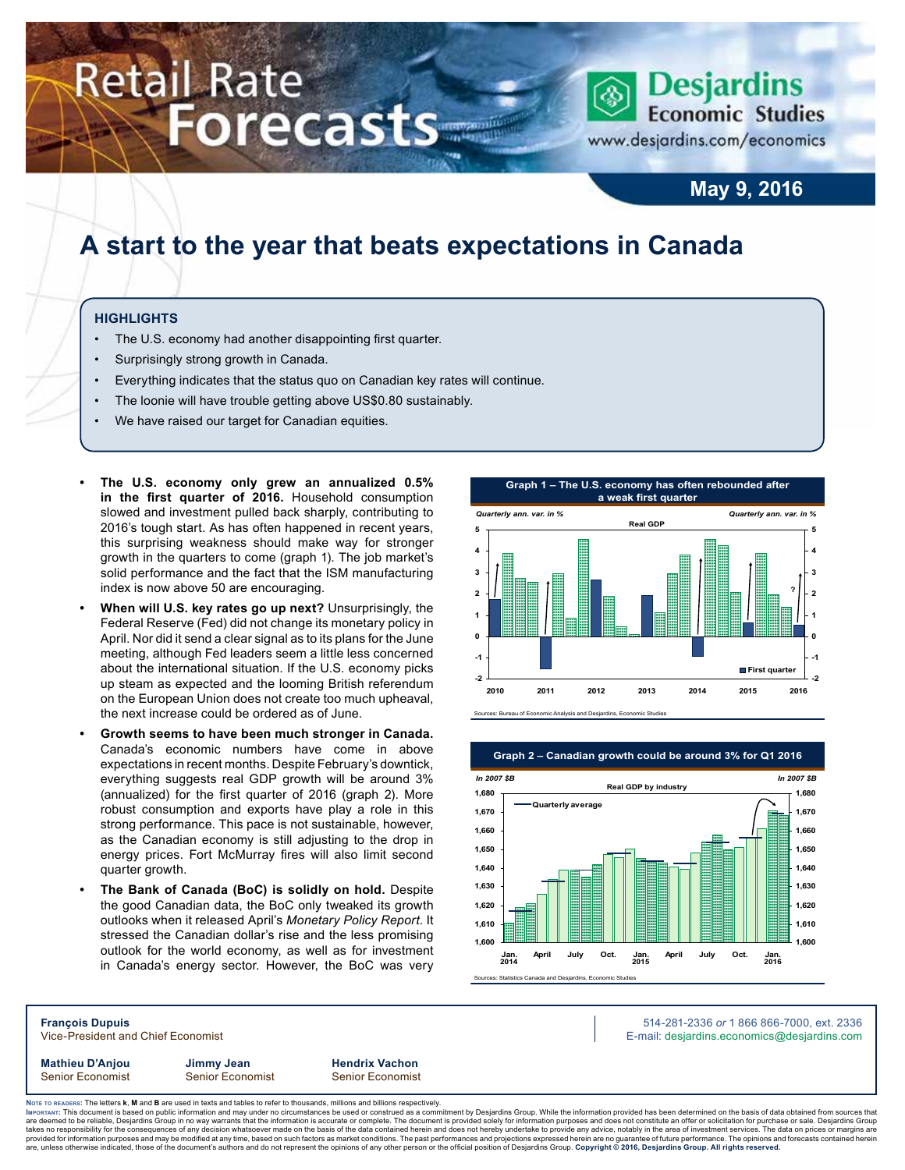# Retail Rate **Forecasts**

**Desjardins Economic Studies** 

www.desjardins.com/economics

### **May 9, 2016**

## **A start to the year that beats expectations in Canada**

### **Highlights**

- The U.S. economy had another disappointing first quarter.
- Surprisingly strong growth in Canada.
- Everything indicates that the status quo on Canadian key rates will continue.
- The loonie will have trouble getting above US\$0.80 sustainably.
- We have raised our target for Canadian equities.
- **• The U.S. economy only grew an annualized 0.5% in the first quarter of 2016.** Household consumption slowed and investment pulled back sharply, contributing to 2016's tough start. As has often happened in recent years, this surprising weakness should make way for stronger growth in the quarters to come (graph 1). The job market's solid performance and the fact that the ISM manufacturing index is now above 50 are encouraging.
- **• When will U.S. key rates go up next?** Unsurprisingly, the Federal Reserve (Fed) did not change its monetary policy in April. Nor did it send a clear signal as to its plans for the June meeting, although Fed leaders seem a little less concerned about the international situation. If the U.S. economy picks up steam as expected and the looming British referendum on the European Union does not create too much upheaval, the next increase could be ordered as of June.
- **• Growth seems to have been much stronger in Canada.** Canada's economic numbers have come in above expectations in recent months. Despite February's downtick, everything suggests real GDP growth will be around 3% (annualized) for the first quarter of 2016 (graph 2). More robust consumption and exports have play a role in this strong performance. This pace is not sustainable, however, as the Canadian economy is still adjusting to the drop in energy prices. Fort McMurray fires will also limit second quarter growth.
- **• The Bank of Canada (BoC) is solidly on hold.** Despite the good Canadian data, the BoC only tweaked its growth outlooks when it released April's *Monetary Policy Report*. It stressed the Canadian dollar's rise and the less promising outlook for the world economy, as well as for investment in Canada's energy sector. However, the BoC was very





**Mathieu D'Anjou Jimmy Jean Hendrix Vachon** Senior Economist Senior Economist Senior Economist

**François Dupuis** 514-281-2336 *or* 1 866 866-7000, ext. 2336 Vice-President and Chief Economist **E-mail: designediate and Chief Economist** E-mail: designediate economics@desjardins.com

Noте то келоекs: The letters **k, M** and **B** are used in texts and tables to refer to thousands, millions and billions respectively.<br>Імроктлит: This document is based on public information and may under no circumstances be are deemed to be reliable, Desjardins Group in no way warrants that the information is accurate or complete. The document is provided solely for information purposes and does not constitute an offer or solicitation for pur takes no responsibility for the consequences of any decision whatsoever made on the basis of the data contained herein and does not hereby undertake to provide any advice, notably in the area of investment services. The da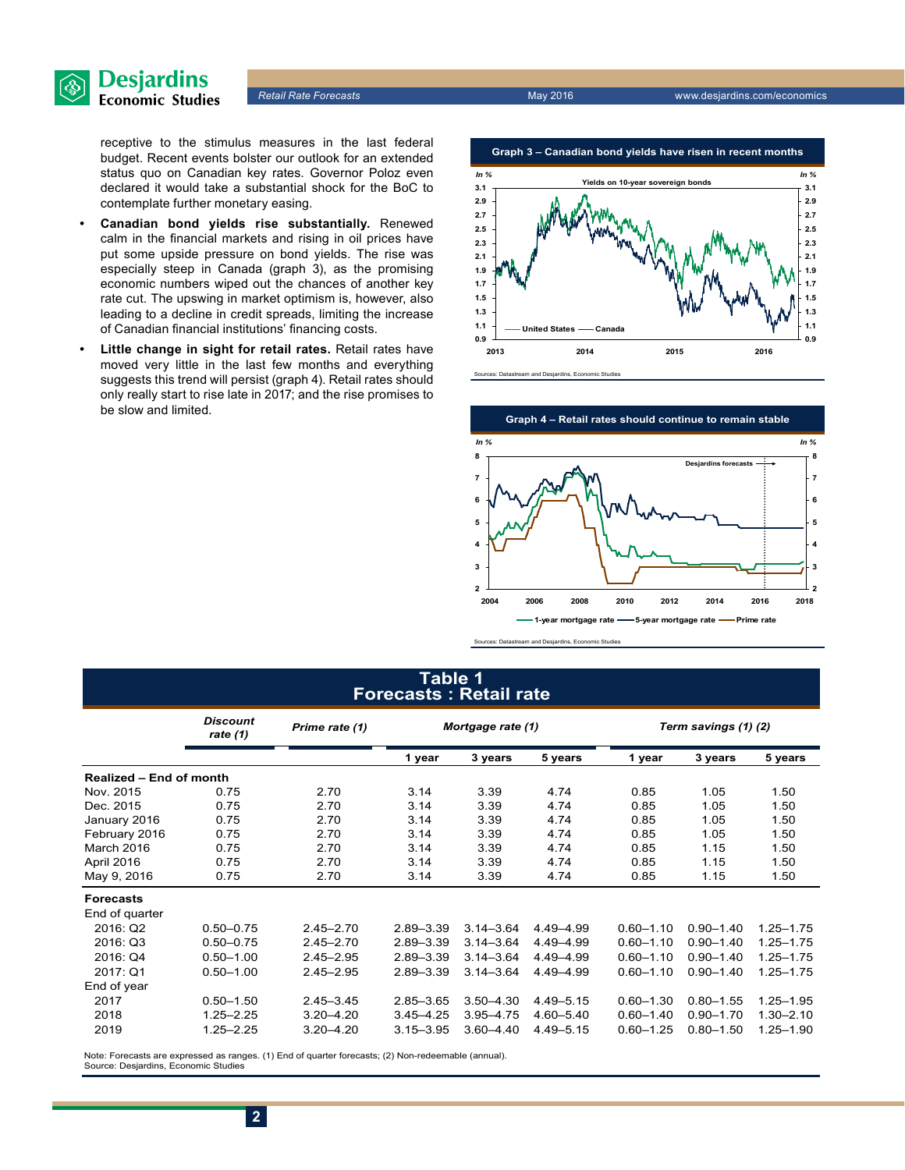

receptive to the stimulus measures in the last federal budget. Recent events bolster our outlook for an extended status quo on Canadian key rates. Governor Poloz even declared it would take a substantial shock for the BoC to contemplate further monetary easing.

- **• Canadian bond yields rise substantially.** Renewed calm in the financial markets and rising in oil prices have put some upside pressure on bond yields. The rise was especially steep in Canada (graph 3), as the promising economic numbers wiped out the chances of another key rate cut. The upswing in market optimism is, however, also leading to a decline in credit spreads, limiting the increase of Canadian financial institutions' financing costs.
- **• Little change in sight for retail rates.** Retail rates have moved very little in the last few months and everything suggests this trend will persist (graph 4). Retail rates should only really start to rise late in 2017; and the rise promises to be slow and limited.





#### Sources: Datastream and Desjardins, Economic Studies

### **Table 1 Forecasts : Retail rate**

|                         | <b>Discount</b><br>rate (1) | Prime rate (1) | Mortgage rate (1) |               |               | Term savings (1) (2) |               |               |  |
|-------------------------|-----------------------------|----------------|-------------------|---------------|---------------|----------------------|---------------|---------------|--|
|                         |                             |                | 1 year            | 3 years       | 5 years       | 1 year               | 3 years       | 5 years       |  |
| Realized - End of month |                             |                |                   |               |               |                      |               |               |  |
| Nov. 2015               | 0.75                        | 2.70           | 3.14              | 3.39          | 4.74          | 0.85                 | 1.05          | 1.50          |  |
| Dec. 2015               | 0.75                        | 2.70           | 3.14              | 3.39          | 4.74          | 0.85                 | 1.05          | 1.50          |  |
| January 2016            | 0.75                        | 2.70           | 3.14              | 3.39          | 4.74          | 0.85                 | 1.05          | 1.50          |  |
| February 2016           | 0.75                        | 2.70           | 3.14              | 3.39          | 4.74          | 0.85                 | 1.05          | 1.50          |  |
| March 2016              | 0.75                        | 2.70           | 3.14              | 3.39          | 4.74          | 0.85                 | 1.15          | 1.50          |  |
| April 2016              | 0.75                        | 2.70           | 3.14              | 3.39          | 4.74          | 0.85                 | 1.15          | 1.50          |  |
| May 9, 2016             | 0.75                        | 2.70           | 3.14              | 3.39          | 4.74          | 0.85                 | 1.15          | 1.50          |  |
| <b>Forecasts</b>        |                             |                |                   |               |               |                      |               |               |  |
| End of quarter          |                             |                |                   |               |               |                      |               |               |  |
| 2016: Q2                | $0.50 - 0.75$               | $2.45 - 2.70$  | $2.89 - 3.39$     | $3.14 - 3.64$ | 4.49 - 4.99   | $0.60 - 1.10$        | $0.90 - 1.40$ | $1.25 - 1.75$ |  |
| 2016: Q3                | $0.50 - 0.75$               | $2.45 - 2.70$  | $2.89 - 3.39$     | $3.14 - 3.64$ | 4.49-4.99     | $0.60 - 1.10$        | $0.90 - 1.40$ | $1.25 - 1.75$ |  |
| 2016: Q4                | $0.50 - 1.00$               | $2.45 - 2.95$  | $2.89 - 3.39$     | $3.14 - 3.64$ | 4.49 - 4.99   | $0.60 - 1.10$        | $0.90 - 1.40$ | $1.25 - 1.75$ |  |
| 2017: Q1                | $0.50 - 1.00$               | $2.45 - 2.95$  | $2.89 - 3.39$     | $3.14 - 3.64$ | 4.49 - 4.99   | $0.60 - 1.10$        | $0.90 - 1.40$ | 1.25-1.75     |  |
| End of year             |                             |                |                   |               |               |                      |               |               |  |
| 2017                    | $0.50 - 1.50$               | $2.45 - 3.45$  | $2.85 - 3.65$     | $3.50 - 4.30$ | 4.49 - 5.15   | $0.60 - 1.30$        | $0.80 - 1.55$ | $1.25 - 1.95$ |  |
| 2018                    | $1.25 - 2.25$               | $3.20 - 4.20$  | $3.45 - 4.25$     | $3.95 - 4.75$ | $4.60 - 5.40$ | $0.60 - 1.40$        | $0.90 - 1.70$ | $1.30 - 2.10$ |  |
| 2019                    | $1.25 - 2.25$               | $3.20 - 4.20$  | $3.15 - 3.95$     | $3.60 - 4.40$ | 4.49 - 5.15   | $0.60 - 1.25$        | $0.80 - 1.50$ | 1.25-1.90     |  |

Note: Forecasts are expressed as ranges. (1) End of quarter forecasts; (2) Non-redeemable (annual). Source: Desjardins, Economic Studies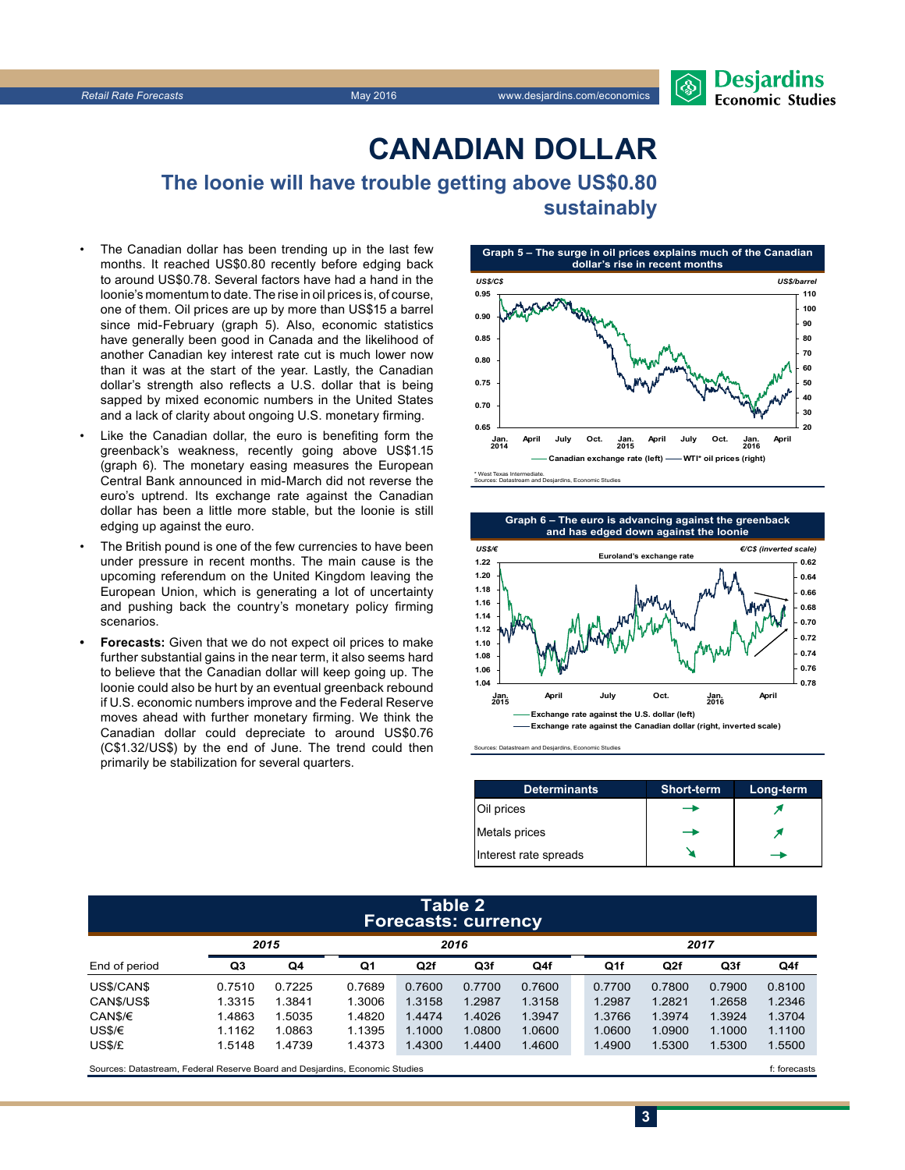### **CanadiAn Dollar**

**The loonie will have trouble getting above US\$0.80 sustainably**

- The Canadian dollar has been trending up in the last few months. It reached US\$0.80 recently before edging back to around US\$0.78. Several factors have had a hand in the loonie's momentum to date. The rise in oil prices is, of course, one of them. Oil prices are up by more than US\$15 a barrel since mid-February (graph 5). Also, economic statistics have generally been good in Canada and the likelihood of another Canadian key interest rate cut is much lower now than it was at the start of the year. Lastly, the Canadian dollar's strength also reflects a U.S. dollar that is being sapped by mixed economic numbers in the United States and a lack of clarity about ongoing U.S. monetary firming.
- Like the Canadian dollar, the euro is benefiting form the greenback's weakness, recently going above US\$1.15 (graph 6). The monetary easing measures the European Central Bank announced in mid‑March did not reverse the euro's uptrend. Its exchange rate against the Canadian dollar has been a little more stable, but the loonie is still edging up against the euro.
- The British pound is one of the few currencies to have been under pressure in recent months. The main cause is the upcoming referendum on the United Kingdom leaving the European Union, which is generating a lot of uncertainty and pushing back the country's monetary policy firming scenarios.
- **• Forecasts:** Given that we do not expect oil prices to make further substantial gains in the near term, it also seems hard to believe that the Canadian dollar will keep going up. The loonie could also be hurt by an eventual greenback rebound if U.S. economic numbers improve and the Federal Reserve moves ahead with further monetary firming. We think the Canadian dollar could depreciate to around US\$0.76 (C\$1.32/US\$) by the end of June. The trend could then primarily be stabilization for several quarters.



**Graph 6 – The euro is advancing against the greenback**



Sources: Datastream and Desjardins, Economic Studies

| <b>Determinants</b>   | <b>Short-term</b> | Long-term |
|-----------------------|-------------------|-----------|
| Oil prices            |                   |           |
| Metals prices         |                   |           |
| Interest rate spreads |                   |           |

**3**

#### **Table 2 Forecasts: currency**

|               |        | 2015   |        |        | 2016   |        |  | 2017   |        |                 |        |
|---------------|--------|--------|--------|--------|--------|--------|--|--------|--------|-----------------|--------|
| End of period | Q3     | Q4     | Q1     | Q2f    | Q3f    | Q4f    |  | Q1f    | Q2f    | Q <sub>3f</sub> | Q4f    |
| US\$/CAN\$    | 0.7510 | 0.7225 | 0.7689 | 0.7600 | 0.7700 | 0.7600 |  | 0.7700 | 0.7800 | 0.7900          | 0.8100 |
| CANS/US\$     | 1.3315 | .3841  | 1.3006 | 1.3158 | 1.2987 | 1.3158 |  | 1.2987 | 1.2821 | 1.2658          | 1.2346 |
| CAN\$/€       | 1.4863 | .5035  | 1.4820 | 1.4474 | 1.4026 | 1.3947 |  | 1.3766 | 1.3974 | 1.3924          | 1.3704 |
| US\$/€        | 1.1162 | .0863  | 1.1395 | 1.1000 | 1.0800 | 1.0600 |  | 1.0600 | 1.0900 | 1.1000          | 1.1100 |
| US\$/£        | 1.5148 | .4739  | 1.4373 | 1.4300 | 1.4400 | 1.4600 |  | 1.4900 | 1.5300 | 1.5300          | 1.5500 |
|               |        |        |        |        |        |        |  |        |        |                 |        |

Sources: Datastream, Federal Reserve Board and Desjardins, Economic Studies file and the studies f: forecasts f: forecasts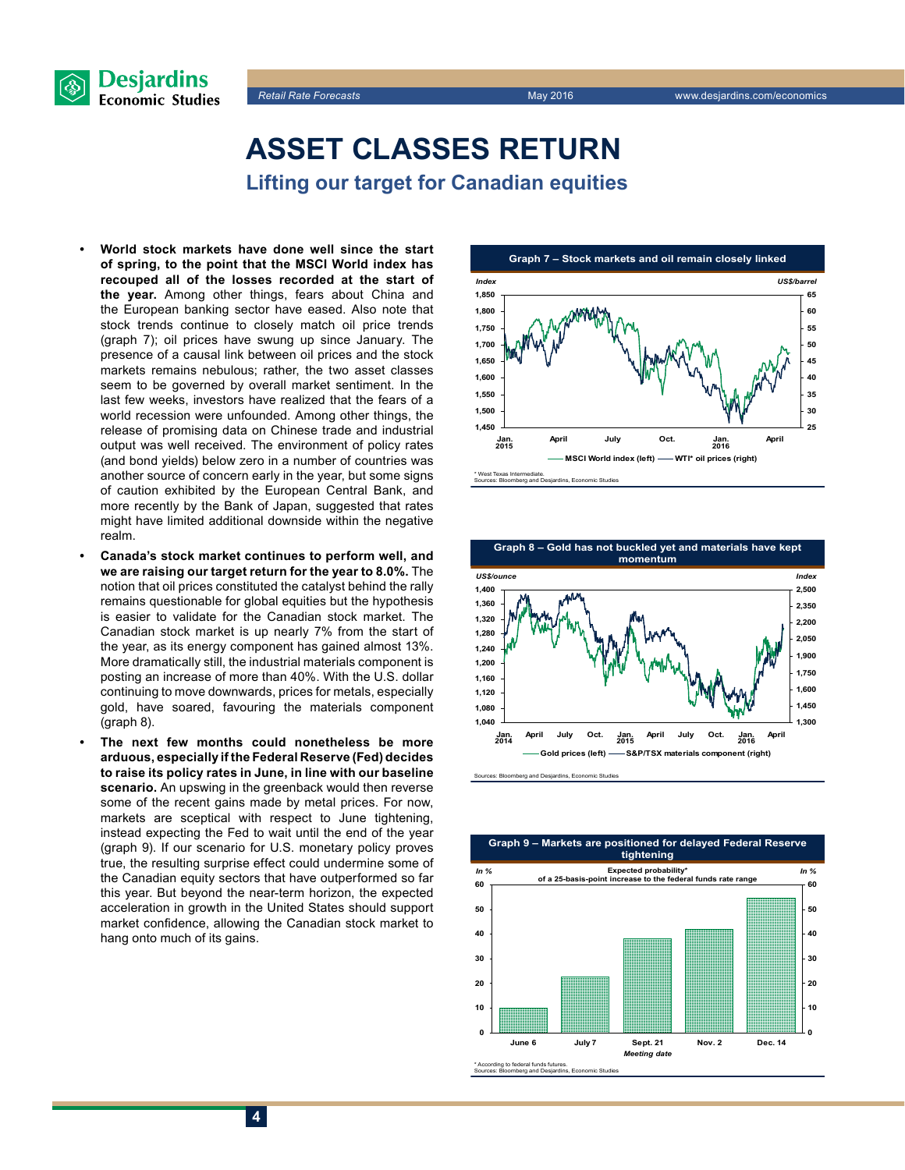



### **Asset classes return Lifting our target for Canadian equities**

- **• World stock markets have done well since the start of spring, to the point that the MSCI World index has recouped all of the losses recorded at the start of the year.** Among other things, fears about China and the European banking sector have eased. Also note that stock trends continue to closely match oil price trends (graph 7); oil prices have swung up since January. The presence of a causal link between oil prices and the stock markets remains nebulous; rather, the two asset classes seem to be governed by overall market sentiment. In the last few weeks, investors have realized that the fears of a world recession were unfounded. Among other things, the release of promising data on Chinese trade and industrial output was well received. The environment of policy rates (and bond yields) below zero in a number of countries was another source of concern early in the year, but some signs of caution exhibited by the European Central Bank, and more recently by the Bank of Japan, suggested that rates might have limited additional downside within the negative realm.
- **• Canada's stock market continues to perform well, and we are raising our target return for the year to 8.0%.** The notion that oil prices constituted the catalyst behind the rally remains questionable for global equities but the hypothesis is easier to validate for the Canadian stock market. The Canadian stock market is up nearly 7% from the start of the year, as its energy component has gained almost 13%. More dramatically still, the industrial materials component is posting an increase of more than 40%. With the U.S. dollar continuing to move downwards, prices for metals, especially gold, have soared, favouring the materials component (graph 8).
- **• The next few months could nonetheless be more arduous, especially if the Federal Reserve (Fed) decides to raise its policy rates in June, in line with our baseline scenario.** An upswing in the greenback would then reverse some of the recent gains made by metal prices. For now, markets are sceptical with respect to June tightening, instead expecting the Fed to wait until the end of the year (graph 9). If our scenario for U.S. monetary policy proves true, the resulting surprise effect could undermine some of the Canadian equity sectors that have outperformed so far this year. But beyond the near-term horizon, the expected acceleration in growth in the United States should support market confidence, allowing the Canadian stock market to hang onto much of its gains.